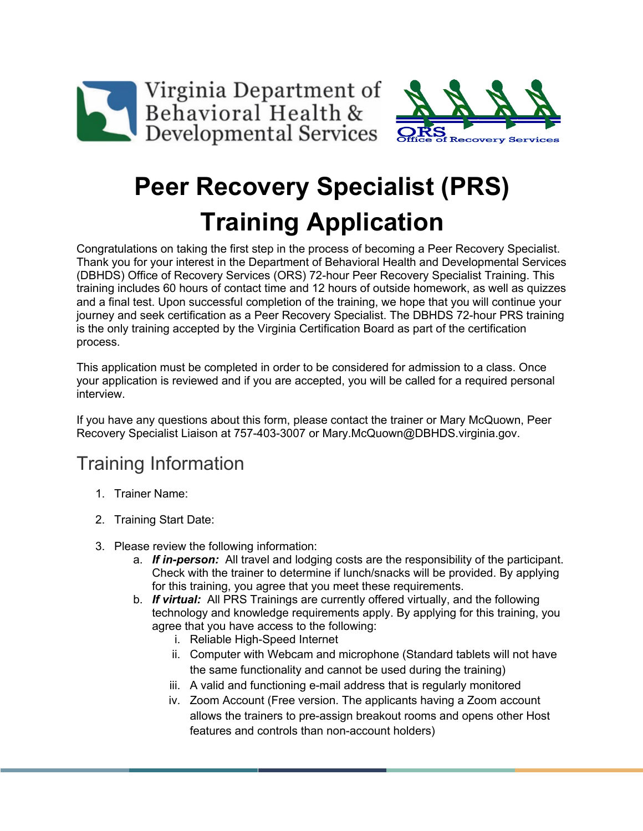



# **Peer Recovery Specialist (PRS) Training Application**

Congratulations on taking the first step in the process of becoming a Peer Recovery Specialist. Thank you for your interest in the Department of Behavioral Health and Developmental Services (DBHDS) Office of Recovery Services (ORS) 72-hour Peer Recovery Specialist Training. This training includes 60 hours of contact time and 12 hours of outside homework, as well as quizzes and a final test. Upon successful completion of the training, we hope that you will continue your journey and seek certification as a Peer Recovery Specialist. The DBHDS 72-hour PRS training is the only training accepted by the Virginia Certification Board as part of the certification process.

This application must be completed in order to be considered for admission to a class. Once your application is reviewed and if you are accepted, you will be called for a required personal interview.

If you have any questions about this form, please contact the trainer or Mary McQuown, Peer Recovery Specialist Liaison at 757-403-3007 or Mary.McQuown@DBHDS.virginia.gov.

# Training Information

- 1. Trainer Name:
- 2. Training Start Date:
- 3. Please review the following information:
	- a. *If in-person:* All travel and lodging costs are the responsibility of the participant. Check with the trainer to determine if lunch/snacks will be provided. By applying for this training, you agree that you meet these requirements.
	- b. *If virtual:* All PRS Trainings are currently offered virtually, and the following technology and knowledge requirements apply. By applying for this training, you agree that you have access to the following:
		- i. Reliable High-Speed Internet
		- ii. Computer with Webcam and microphone (Standard tablets will not have the same functionality and cannot be used during the training)
		- iii. A valid and functioning e-mail address that is regularly monitored
		- iv. Zoom Account (Free version. The applicants having a Zoom account allows the trainers to pre-assign breakout rooms and opens other Host features and controls than non-account holders)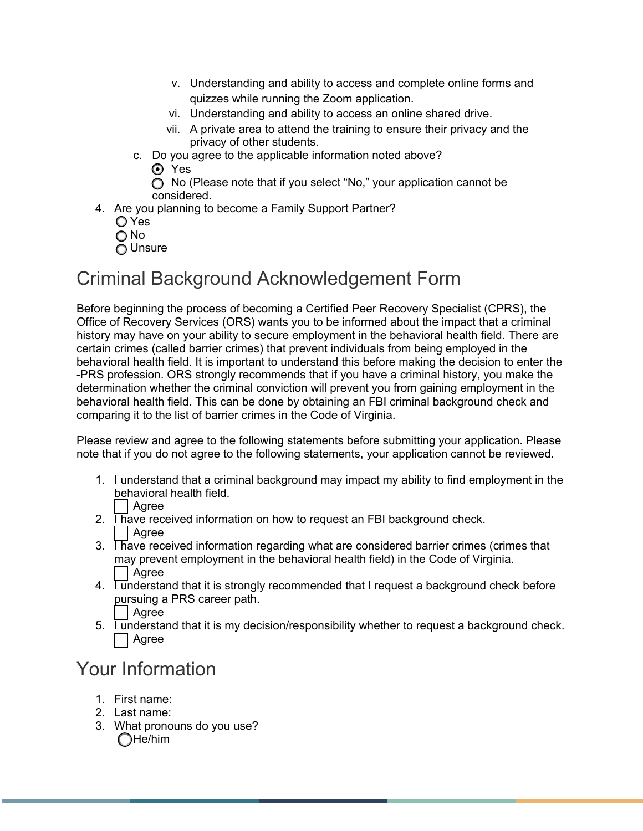- v. Understanding and ability to access and complete online forms and quizzes while running the Zoom application.
- vi. Understanding and ability to access an online shared drive.
- vii. A private area to attend the training to ensure their privacy and the privacy of other students.
- c. Do you agree to the applicable information noted above?

**⊙** Yes

◯ No (Please note that if you select "No," your application cannot be considered.

4. Are you planning to become a Family Support Partner?

O Yes O No

O Unsure

#### Criminal Background Acknowledgement Form

Before beginning the process of becoming a Certified Peer Recovery Specialist (CPRS), the Office of Recovery Services (ORS) wants you to be informed about the impact that a criminal history may have on your ability to secure employment in the behavioral health field. There are certain crimes (called barrier crimes) that prevent individuals from being employed in the behavioral health field. It is important to understand this before making the decision to enter the -PRS profession. ORS strongly recommends that if you have a criminal history, you make the determination whether the criminal conviction will prevent you from gaining employment in the behavioral health field. This can be done by obtaining an FBI criminal background check and comparing it to the list of barrier crimes in the Code of Virginia.

Please review and agree to the following statements before submitting your application. Please note that if you do not agree to the following statements, your application cannot be reviewed.

- 1. I understand that a criminal background may impact my ability to find employment in the behavioral health field. Agree
- 2. Thave received information on how to request an FBI background check. | Agree
- 3. Thave received information regarding what are considered barrier crimes (crimes that may prevent employment in the behavioral health field) in the Code of Virginia. Agree
- 4. I understand that it is strongly recommended that I request a background check before pursuing a PRS career path.
	- l Agree
- $\overline{5}$ . Tunderstand that it is my decision/responsibility whether to request a background check. Agree

### Your Information

- 1. First name:
- 2. Last name:
- 3. What pronouns do you use?  $\bigcap$ He/him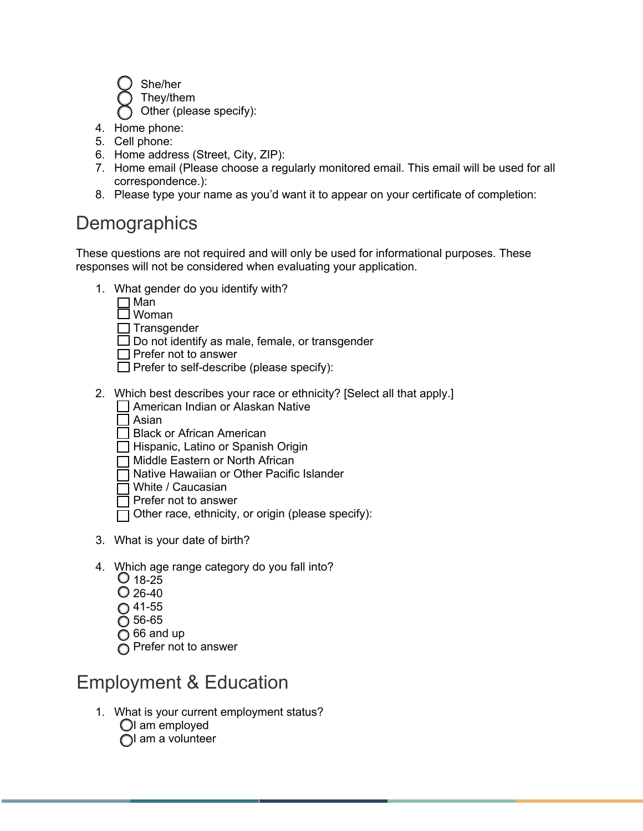She/her

They/them

Other (please specify):

- 4. Home phone:
- 5. Cell phone:
- 6. Home address (Street, City, ZIP):
- 7. Home email (Please choose a regularly monitored email. This email will be used for all correspondence.):
- 8. Please type your name as you'd want it to appear on your certificate of completion:

### **Demographics**

These questions are not required and will only be used for informational purposes. These responses will not be considered when evaluating your application.

- 1. What gender do you identify with?
	- $\square$  Man
	- Woman

 $\Box$  Transgender

- $\square$  Do not identify as male, female, or transgender
- $\Box$  Prefer not to answer
- $\Box$  Prefer to self-describe (please specify):
- 2. Which best describes your race or ethnicity? [Select all that apply.] American Indian or Alaskan Native
	- $\Box$  Asian
	- □ Black or African American
	- $\Box$  Hispanic, Latino or Spanish Origin
	- □ Middle Eastern or North African
	- □ Native Hawaiian or Other Pacific Islander
	- White / Caucasian
	- $\overline{\mathsf{I}}$  Prefer not to answer
	- Other race, ethnicity, or origin (please specify):
- 3. What is your date of birth?
- 4. Which age range category do you fall into?
	- $Q$  18-25
	- $Q$  26-40
	- $O$  41-55
	- 56-65
	- $\bigcap$  66 and up
	- Prefer not to answer

### Employment & Education

- 1. What is your current employment status?
	- $\bigcirc$ I am employed
	- $\bigcap$  am a volunteer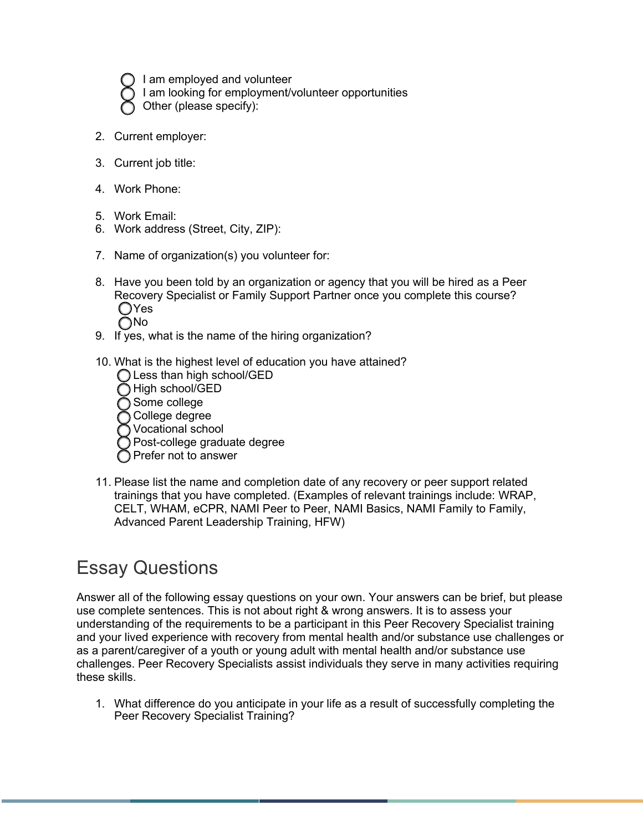- I am employed and volunteer
- I am looking for employment/volunteer opportunities
- Other (please specify):
- 2. Current employer:
- 3. Current job title:
- 4. Work Phone:
- 5. Work Email:
- 6. Work address (Street, City, ZIP):
- 7. Name of organization(s) you volunteer for:
- 8. Have you been told by an organization or agency that you will be hired as a Peer Recovery Specialist or Family Support Partner once you complete this course? **O**Yes **ONo**
- 9. If yes, what is the name of the hiring organization?
- 10. What is the highest level of education you have attained?
	- ◯ Less than high school/GED
	- High school/GED
	- Some college
	- College degree
	- Vocational school
	- Post-college graduate degree
	- Prefer not to answer
- 11. Please list the name and completion date of any recovery or peer support related trainings that you have completed. (Examples of relevant trainings include: WRAP, CELT, WHAM, eCPR, NAMI Peer to Peer, NAMI Basics, NAMI Family to Family, Advanced Parent Leadership Training, HFW)

# Essay Questions

Answer all of the following essay questions on your own. Your answers can be brief, but please use complete sentences. This is not about right & wrong answers. It is to assess your understanding of the requirements to be a participant in this Peer Recovery Specialist training and your lived experience with recovery from mental health and/or substance use challenges or as a parent/caregiver of a youth or young adult with mental health and/or substance use challenges. Peer Recovery Specialists assist individuals they serve in many activities requiring these skills.

1. What difference do you anticipate in your life as a result of successfully completing the Peer Recovery Specialist Training?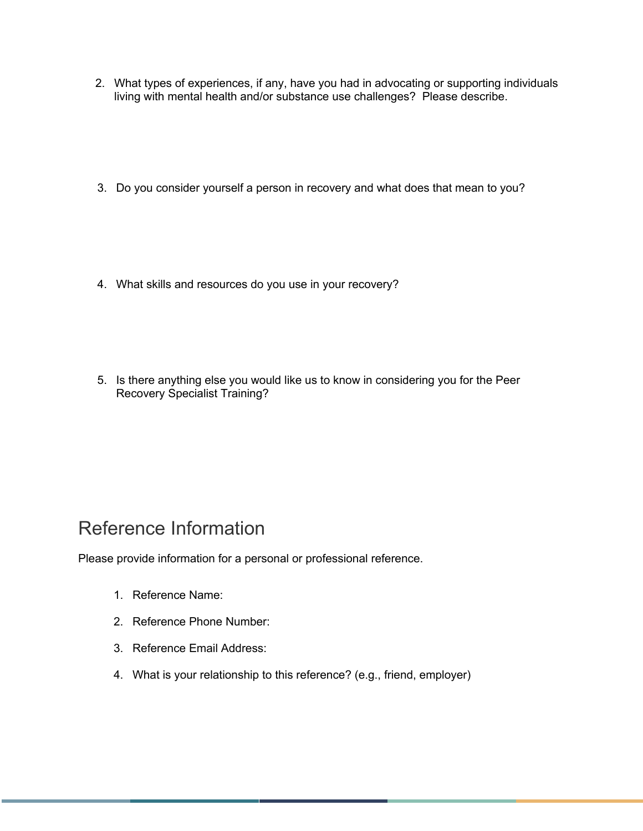- 2. What types of experiences, if any, have you had in advocating or supporting individuals living with mental health and/or substance use challenges? Please describe.
- 3. Do you consider yourself a person in recovery and what does that mean to you?
- 4. What skills and resources do you use in your recovery?
- 5. Is there anything else you would like us to know in considering you for the Peer Recovery Specialist Training?

### Reference Information

Please provide information for a personal or professional reference.

- 1. Reference Name:
- 2. Reference Phone Number:
- 3. Reference Email Address:
- 4. What is your relationship to this reference? (e.g., friend, employer)